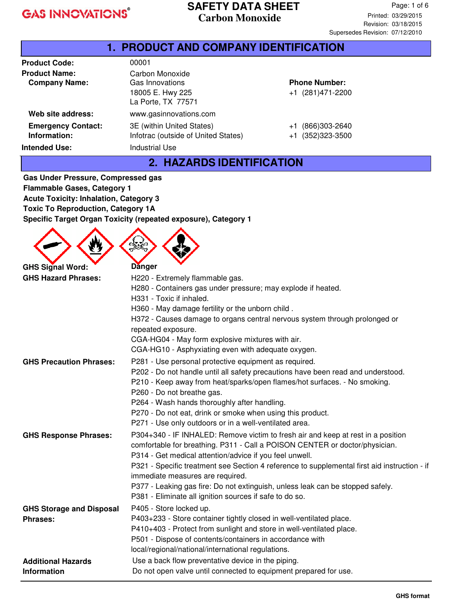#### **SAFETY DATA SHEET Carbon Monoxide**

#### **1. PRODUCT AND COMPANY IDENTIFICATION Product Code: Product Name:** 00001 Carbon Monoxide **Company Name:** Gas Innovations 18005 E. Hwy 225 La Porte, TX 77571 **Phone Number:** +1 (281)471-2200 **Web site address:** www.gasinnovations.com **Emergency Contact: Information:** 3E (within United States) Infotrac (outside of United States) +1 (866)303-2640 +1 (352)323-3500 **Intended Use:** Industrial Use **2. HAZARDS IDENTIFICATION**

**Gas Under Pressure, Compressed gas Flammable Gases, Category 1 Acute Toxicity: Inhalation, Category 3 Toxic To Reproduction, Category 1A Specific Target Organ Toxicity (repeated exposure), Category 1**

 $\triangle$   $\triangle$   $\triangle$ 

|                                 | ᢟ                                                                                                                                           |
|---------------------------------|---------------------------------------------------------------------------------------------------------------------------------------------|
| <b>GHS Signal Word:</b>         | <b>Danger</b>                                                                                                                               |
| <b>GHS Hazard Phrases:</b>      | H220 - Extremely flammable gas.                                                                                                             |
|                                 | H280 - Containers gas under pressure; may explode if heated.                                                                                |
|                                 | H331 - Toxic if inhaled.                                                                                                                    |
|                                 | H360 - May damage fertility or the unborn child.                                                                                            |
|                                 | H372 - Causes damage to organs central nervous system through prolonged or                                                                  |
|                                 | repeated exposure.                                                                                                                          |
|                                 | CGA-HG04 - May form explosive mixtures with air.                                                                                            |
|                                 | CGA-HG10 - Asphyxiating even with adequate oxygen.                                                                                          |
| <b>GHS Precaution Phrases:</b>  | P281 - Use personal protective equipment as required.                                                                                       |
|                                 | P202 - Do not handle until all safety precautions have been read and understood.                                                            |
|                                 | P210 - Keep away from heat/sparks/open flames/hot surfaces. - No smoking.                                                                   |
|                                 | P260 - Do not breathe gas.                                                                                                                  |
|                                 | P264 - Wash hands thoroughly after handling.                                                                                                |
|                                 | P270 - Do not eat, drink or smoke when using this product.                                                                                  |
|                                 | P271 - Use only outdoors or in a well-ventilated area.                                                                                      |
| <b>GHS Response Phrases:</b>    | P304+340 - IF INHALED: Remove victim to fresh air and keep at rest in a position                                                            |
|                                 | comfortable for breathing. P311 - Call a POISON CENTER or doctor/physician.                                                                 |
|                                 | P314 - Get medical attention/advice if you feel unwell.                                                                                     |
|                                 | P321 - Specific treatment see Section 4 reference to supplemental first aid instruction - if                                                |
|                                 | immediate measures are required.                                                                                                            |
|                                 | P377 - Leaking gas fire: Do not extinguish, unless leak can be stopped safely.<br>P381 - Eliminate all ignition sources if safe to do so.   |
|                                 |                                                                                                                                             |
| <b>GHS Storage and Disposal</b> | P405 - Store locked up.                                                                                                                     |
| <b>Phrases:</b>                 | P403+233 - Store container tightly closed in well-ventilated place.<br>P410+403 - Protect from sunlight and store in well-ventilated place. |
|                                 | P501 - Dispose of contents/containers in accordance with                                                                                    |
|                                 | local/regional/national/international regulations.                                                                                          |
| <b>Additional Hazards</b>       | Use a back flow preventative device in the piping.                                                                                          |
| <b>Information</b>              | Do not open valve until connected to equipment prepared for use.                                                                            |
|                                 |                                                                                                                                             |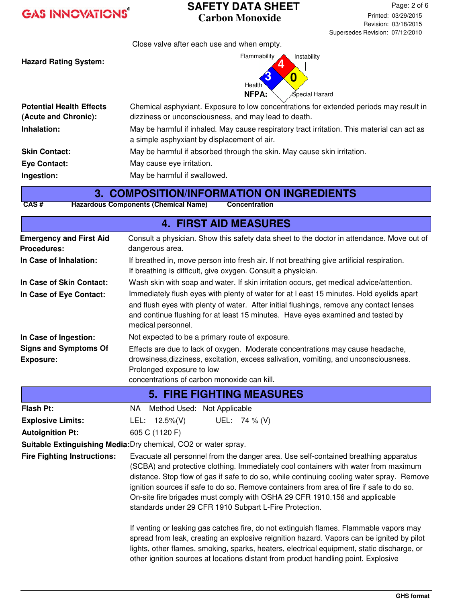#### **SAFETY DATA SHEET Carbon Monoxide**

Close valve after each use and when empty.

**Hazard Rating System:**



| <b>Potential Health Effects</b><br>(Acute and Chronic): | Chemical asphyxiant. Exposure to low concentrations for extended periods may result in<br>dizziness or unconsciousness, and may lead to death. |
|---------------------------------------------------------|------------------------------------------------------------------------------------------------------------------------------------------------|
| Inhalation:                                             | May be harmful if inhaled. May cause respiratory tract irritation. This material can act as<br>a simple asphyxiant by displacement of air.     |
| <b>Skin Contact:</b>                                    | May be harmful if absorbed through the skin. May cause skin irritation.                                                                        |
| <b>Eye Contact:</b>                                     | May cause eye irritation.                                                                                                                      |
| Ingestion:                                              | May be harmful if swallowed.                                                                                                                   |

#### **3. COMPOSITION/INFORMATION ON INGREDIENTS**

**CAS # Hazardous Components (Chemical Name) Concentration**

| <b>4. FIRST AID MEASURES</b>                         |                                                                                                                                                                                                                                                                                                                                                                                                                                                                                                             |  |  |  |  |
|------------------------------------------------------|-------------------------------------------------------------------------------------------------------------------------------------------------------------------------------------------------------------------------------------------------------------------------------------------------------------------------------------------------------------------------------------------------------------------------------------------------------------------------------------------------------------|--|--|--|--|
| <b>Emergency and First Aid</b><br><b>Procedures:</b> | Consult a physician. Show this safety data sheet to the doctor in attendance. Move out of<br>dangerous area.                                                                                                                                                                                                                                                                                                                                                                                                |  |  |  |  |
| In Case of Inhalation:                               | If breathed in, move person into fresh air. If not breathing give artificial respiration.<br>If breathing is difficult, give oxygen. Consult a physician.                                                                                                                                                                                                                                                                                                                                                   |  |  |  |  |
| In Case of Skin Contact:                             | Wash skin with soap and water. If skin irritation occurs, get medical advice/attention.<br>Immediately flush eyes with plenty of water for at I east 15 minutes. Hold eyelids apart<br>and flush eyes with plenty of water. After initial flushings, remove any contact lenses<br>and continue flushing for at least 15 minutes. Have eyes examined and tested by<br>medical personnel.                                                                                                                     |  |  |  |  |
| In Case of Eye Contact:                              |                                                                                                                                                                                                                                                                                                                                                                                                                                                                                                             |  |  |  |  |
| In Case of Ingestion:                                | Not expected to be a primary route of exposure.                                                                                                                                                                                                                                                                                                                                                                                                                                                             |  |  |  |  |
| <b>Signs and Symptoms Of</b><br><b>Exposure:</b>     | Effects are due to lack of oxygen. Moderate concentrations may cause headache,<br>drowsiness, dizziness, excitation, excess salivation, vomiting, and unconsciousness.                                                                                                                                                                                                                                                                                                                                      |  |  |  |  |
|                                                      | Prolonged exposure to low<br>concentrations of carbon monoxide can kill.                                                                                                                                                                                                                                                                                                                                                                                                                                    |  |  |  |  |
| <b>5. FIRE FIGHTING MEASURES</b>                     |                                                                                                                                                                                                                                                                                                                                                                                                                                                                                                             |  |  |  |  |
| Flash Pt:                                            | Method Used: Not Applicable<br>NA .                                                                                                                                                                                                                                                                                                                                                                                                                                                                         |  |  |  |  |
| <b>Explosive Limits:</b>                             | UEL: 74 % (V)<br>LEL: $12.5\%(V)$                                                                                                                                                                                                                                                                                                                                                                                                                                                                           |  |  |  |  |
| <b>Autoignition Pt:</b>                              | 605 C (1120 F)                                                                                                                                                                                                                                                                                                                                                                                                                                                                                              |  |  |  |  |
|                                                      | Suitable Extinguishing Media: Dry chemical, CO2 or water spray.                                                                                                                                                                                                                                                                                                                                                                                                                                             |  |  |  |  |
| <b>Fire Fighting Instructions:</b>                   | Evacuate all personnel from the danger area. Use self-contained breathing apparatus<br>(SCBA) and protective clothing. Immediately cool containers with water from maximum<br>distance. Stop flow of gas if safe to do so, while continuing cooling water spray. Remove<br>ignition sources if safe to do so. Remove containers from area of fire if safe to do so.<br>On-site fire brigades must comply with OSHA 29 CFR 1910.156 and applicable<br>standards under 29 CFR 1910 Subpart L-Fire Protection. |  |  |  |  |
|                                                      | If venting or leaking gas catches fire, do not extinguish flames. Flammable vapors may<br>spread from leak, creating an explosive reignition hazard. Vapors can be ignited by pilot<br>lights, other flames, smoking, sparks, heaters, electrical equipment, static discharge, or<br>other ignition sources at locations distant from product handling point. Explosive                                                                                                                                     |  |  |  |  |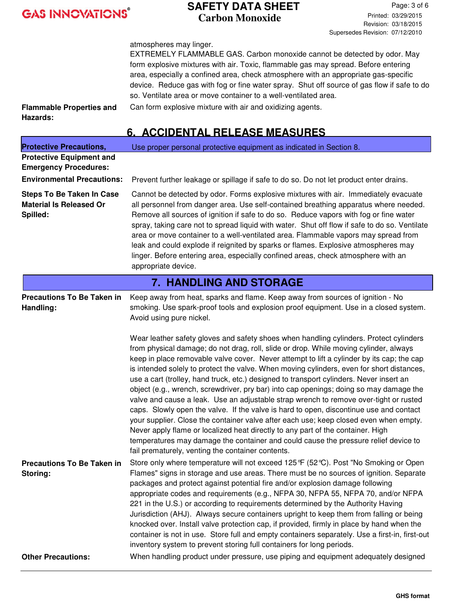#### **SAFETY DATA SHEET Carbon Monoxide**

Page: 3 of 6 Printed: 03/29/2015 Revision: 03/18/2015 Supersedes Revision: 07/12/2010

atmospheres may linger.

EXTREMELY FLAMMABLE GAS. Carbon monoxide cannot be detected by odor. May form explosive mixtures with air. Toxic, flammable gas may spread. Before entering area, especially a confined area, check atmosphere with an appropriate gas-specific device. Reduce gas with fog or fine water spray. Shut off source of gas flow if safe to do so. Ventilate area or move container to a well-ventilated area. Can form explosive mixture with air and oxidizing agents.

**Flammable Properties and Hazards:**

### **6. ACCIDENTAL RELEASE MEASURES**

| <b>Protective Precautions,</b>                                                 | Use proper personal protective equipment as indicated in Section 8.                                                                                                                                                                                                                                                                                                                                                                                                                                                                                                                                                                                                                                                                                                                                                                                                                                                                                                             |  |  |  |
|--------------------------------------------------------------------------------|---------------------------------------------------------------------------------------------------------------------------------------------------------------------------------------------------------------------------------------------------------------------------------------------------------------------------------------------------------------------------------------------------------------------------------------------------------------------------------------------------------------------------------------------------------------------------------------------------------------------------------------------------------------------------------------------------------------------------------------------------------------------------------------------------------------------------------------------------------------------------------------------------------------------------------------------------------------------------------|--|--|--|
| <b>Protective Equipment and</b>                                                |                                                                                                                                                                                                                                                                                                                                                                                                                                                                                                                                                                                                                                                                                                                                                                                                                                                                                                                                                                                 |  |  |  |
| <b>Emergency Procedures:</b>                                                   |                                                                                                                                                                                                                                                                                                                                                                                                                                                                                                                                                                                                                                                                                                                                                                                                                                                                                                                                                                                 |  |  |  |
| <b>Environmental Precautions:</b>                                              | Prevent further leakage or spillage if safe to do so. Do not let product enter drains.                                                                                                                                                                                                                                                                                                                                                                                                                                                                                                                                                                                                                                                                                                                                                                                                                                                                                          |  |  |  |
| <b>Steps To Be Taken In Case</b><br><b>Material Is Released Or</b><br>Spilled: | Cannot be detected by odor. Forms explosive mixtures with air. Immediately evacuate<br>all personnel from danger area. Use self-contained breathing apparatus where needed.<br>Remove all sources of ignition if safe to do so. Reduce vapors with fog or fine water<br>spray, taking care not to spread liquid with water. Shut off flow if safe to do so. Ventilate<br>area or move container to a well-ventilated area. Flammable vapors may spread from<br>leak and could explode if reignited by sparks or flames. Explosive atmospheres may<br>linger. Before entering area, especially confined areas, check atmosphere with an<br>appropriate device.                                                                                                                                                                                                                                                                                                                   |  |  |  |
|                                                                                | <b>7. HANDLING AND STORAGE</b>                                                                                                                                                                                                                                                                                                                                                                                                                                                                                                                                                                                                                                                                                                                                                                                                                                                                                                                                                  |  |  |  |
| <b>Precautions To Be Taken in</b><br>Handling:                                 | Keep away from heat, sparks and flame. Keep away from sources of ignition - No<br>smoking. Use spark-proof tools and explosion proof equipment. Use in a closed system.<br>Avoid using pure nickel.<br>Wear leather safety gloves and safety shoes when handling cylinders. Protect cylinders                                                                                                                                                                                                                                                                                                                                                                                                                                                                                                                                                                                                                                                                                   |  |  |  |
|                                                                                | from physical damage; do not drag, roll, slide or drop. While moving cylinder, always<br>keep in place removable valve cover. Never attempt to lift a cylinder by its cap; the cap<br>is intended solely to protect the valve. When moving cylinders, even for short distances,<br>use a cart (trolley, hand truck, etc.) designed to transport cylinders. Never insert an<br>object (e.g., wrench, screwdriver, pry bar) into cap openings; doing so may damage the<br>valve and cause a leak. Use an adjustable strap wrench to remove over-tight or rusted<br>caps. Slowly open the valve. If the valve is hard to open, discontinue use and contact<br>your supplier. Close the container valve after each use; keep closed even when empty.<br>Never apply flame or localized heat directly to any part of the container. High<br>temperatures may damage the container and could cause the pressure relief device to<br>fail prematurely, venting the container contents. |  |  |  |
| <b>Precautions To Be Taken in</b><br>Storing:                                  | Store only where temperature will not exceed 125 °F (52 ℃). Post "No Smoking or Open<br>Flames" signs in storage and use areas. There must be no sources of ignition. Separate<br>packages and protect against potential fire and/or explosion damage following<br>appropriate codes and requirements (e.g., NFPA 30, NFPA 55, NFPA 70, and/or NFPA<br>221 in the U.S.) or according to requirements determined by the Authority Having<br>Jurisdiction (AHJ). Always secure containers upright to keep them from falling or being<br>knocked over. Install valve protection cap, if provided, firmly in place by hand when the<br>container is not in use. Store full and empty containers separately. Use a first-in, first-out<br>inventory system to prevent storing full containers for long periods.                                                                                                                                                                      |  |  |  |
| <b>Other Precautions:</b>                                                      | When handling product under pressure, use piping and equipment adequately designed                                                                                                                                                                                                                                                                                                                                                                                                                                                                                                                                                                                                                                                                                                                                                                                                                                                                                              |  |  |  |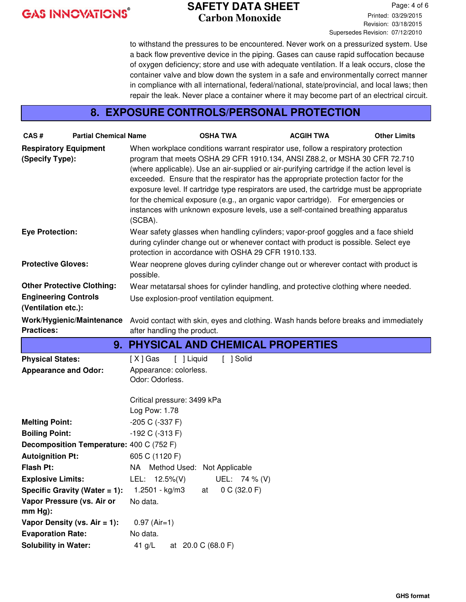#### **SAFETY DATA SHEET Carbon Monoxide**

Page: 4 of 6 Printed: 03/29/2015 Revision: 03/18/2015 Supersedes Revision: 07/12/2010

to withstand the pressures to be encountered. Never work on a pressurized system. Use a back flow preventive device in the piping. Gases can cause rapid suffocation because of oxygen deficiency; store and use with adequate ventilation. If a leak occurs, close the container valve and blow down the system in a safe and environmentally correct manner in compliance with all international, federal/national, state/provincial, and local laws; then repair the leak. Never place a container where it may become part of an electrical circuit.

#### **8. EXPOSURE CONTROLS/PERSONAL PROTECTION**

| CAS#                                            | <b>Partial Chemical Name</b>             |                                                                                                                                                                                                                                  | <b>OSHA TWA</b>    | <b>ACGIH TWA</b>                                                                                                                                                                                                                                                                                                                                                                                                                                                                                                                                                                                                        | <b>Other Limits</b> |
|-------------------------------------------------|------------------------------------------|----------------------------------------------------------------------------------------------------------------------------------------------------------------------------------------------------------------------------------|--------------------|-------------------------------------------------------------------------------------------------------------------------------------------------------------------------------------------------------------------------------------------------------------------------------------------------------------------------------------------------------------------------------------------------------------------------------------------------------------------------------------------------------------------------------------------------------------------------------------------------------------------------|---------------------|
| <b>Respiratory Equipment</b><br>(Specify Type): |                                          | (SCBA).                                                                                                                                                                                                                          |                    | When workplace conditions warrant respirator use, follow a respiratory protection<br>program that meets OSHA 29 CFR 1910.134, ANSI Z88.2, or MSHA 30 CFR 72.710<br>(where applicable). Use an air-supplied or air-purifying cartridge if the action level is<br>exceeded. Ensure that the respirator has the appropriate protection factor for the<br>exposure level. If cartridge type respirators are used, the cartridge must be appropriate<br>for the chemical exposure (e.g., an organic vapor cartridge). For emergencies or<br>instances with unknown exposure levels, use a self-contained breathing apparatus |                     |
| <b>Eye Protection:</b>                          |                                          | Wear safety glasses when handling cylinders; vapor-proof goggles and a face shield<br>during cylinder change out or whenever contact with product is possible. Select eye<br>protection in accordance with OSHA 29 CFR 1910.133. |                    |                                                                                                                                                                                                                                                                                                                                                                                                                                                                                                                                                                                                                         |                     |
| <b>Protective Gloves:</b>                       |                                          | Wear neoprene gloves during cylinder change out or wherever contact with product is<br>possible.                                                                                                                                 |                    |                                                                                                                                                                                                                                                                                                                                                                                                                                                                                                                                                                                                                         |                     |
|                                                 | <b>Other Protective Clothing:</b>        |                                                                                                                                                                                                                                  |                    | Wear metatarsal shoes for cylinder handling, and protective clothing where needed.                                                                                                                                                                                                                                                                                                                                                                                                                                                                                                                                      |                     |
| <b>Engineering Controls</b>                     |                                          | Use explosion-proof ventilation equipment.                                                                                                                                                                                       |                    |                                                                                                                                                                                                                                                                                                                                                                                                                                                                                                                                                                                                                         |                     |
| (Ventilation etc.):                             |                                          |                                                                                                                                                                                                                                  |                    |                                                                                                                                                                                                                                                                                                                                                                                                                                                                                                                                                                                                                         |                     |
|                                                 | Work/Hygienic/Maintenance                |                                                                                                                                                                                                                                  |                    | Avoid contact with skin, eyes and clothing. Wash hands before breaks and immediately                                                                                                                                                                                                                                                                                                                                                                                                                                                                                                                                    |                     |
| <b>Practices:</b>                               |                                          | after handling the product.                                                                                                                                                                                                      |                    |                                                                                                                                                                                                                                                                                                                                                                                                                                                                                                                                                                                                                         |                     |
|                                                 |                                          |                                                                                                                                                                                                                                  |                    | 9. PHYSICAL AND CHEMICAL PROPERTIES                                                                                                                                                                                                                                                                                                                                                                                                                                                                                                                                                                                     |                     |
| <b>Physical States:</b>                         |                                          | [ ] Liquid<br>$[X]$ Gas                                                                                                                                                                                                          | [ ] Solid          |                                                                                                                                                                                                                                                                                                                                                                                                                                                                                                                                                                                                                         |                     |
| <b>Appearance and Odor:</b>                     |                                          | Appearance: colorless.                                                                                                                                                                                                           |                    |                                                                                                                                                                                                                                                                                                                                                                                                                                                                                                                                                                                                                         |                     |
|                                                 |                                          | Odor: Odorless.                                                                                                                                                                                                                  |                    |                                                                                                                                                                                                                                                                                                                                                                                                                                                                                                                                                                                                                         |                     |
|                                                 |                                          | Critical pressure: 3499 kPa                                                                                                                                                                                                      |                    |                                                                                                                                                                                                                                                                                                                                                                                                                                                                                                                                                                                                                         |                     |
|                                                 |                                          | Log Pow: 1.78                                                                                                                                                                                                                    |                    |                                                                                                                                                                                                                                                                                                                                                                                                                                                                                                                                                                                                                         |                     |
| <b>Melting Point:</b>                           |                                          | -205 C (-337 F)                                                                                                                                                                                                                  |                    |                                                                                                                                                                                                                                                                                                                                                                                                                                                                                                                                                                                                                         |                     |
| <b>Boiling Point:</b>                           |                                          | $-192$ C $(-313)$ F)                                                                                                                                                                                                             |                    |                                                                                                                                                                                                                                                                                                                                                                                                                                                                                                                                                                                                                         |                     |
|                                                 | Decomposition Temperature: 400 C (752 F) |                                                                                                                                                                                                                                  |                    |                                                                                                                                                                                                                                                                                                                                                                                                                                                                                                                                                                                                                         |                     |
| <b>Autoignition Pt:</b>                         |                                          | 605 C (1120 F)                                                                                                                                                                                                                   |                    |                                                                                                                                                                                                                                                                                                                                                                                                                                                                                                                                                                                                                         |                     |
| <b>Flash Pt:</b>                                |                                          | NA Method Used: Not Applicable                                                                                                                                                                                                   |                    |                                                                                                                                                                                                                                                                                                                                                                                                                                                                                                                                                                                                                         |                     |
| <b>Explosive Limits:</b>                        |                                          | LEL: $12.5\%(V)$                                                                                                                                                                                                                 | UEL: 74 % (V)      |                                                                                                                                                                                                                                                                                                                                                                                                                                                                                                                                                                                                                         |                     |
|                                                 | Specific Gravity (Water = 1):            | 1.2501 - kg/m3                                                                                                                                                                                                                   | 0 C (32.0 F)<br>at |                                                                                                                                                                                                                                                                                                                                                                                                                                                                                                                                                                                                                         |                     |
| $mm Hg$ :                                       | Vapor Pressure (vs. Air or               | No data.                                                                                                                                                                                                                         |                    |                                                                                                                                                                                                                                                                                                                                                                                                                                                                                                                                                                                                                         |                     |
|                                                 | Vapor Density (vs. $Air = 1$ ):          | $0.97$ (Air=1)                                                                                                                                                                                                                   |                    |                                                                                                                                                                                                                                                                                                                                                                                                                                                                                                                                                                                                                         |                     |
| <b>Evaporation Rate:</b>                        |                                          | No data.                                                                                                                                                                                                                         |                    |                                                                                                                                                                                                                                                                                                                                                                                                                                                                                                                                                                                                                         |                     |
| <b>Solubility in Water:</b>                     |                                          | 41 $g/L$                                                                                                                                                                                                                         | at 20.0 C (68.0 F) |                                                                                                                                                                                                                                                                                                                                                                                                                                                                                                                                                                                                                         |                     |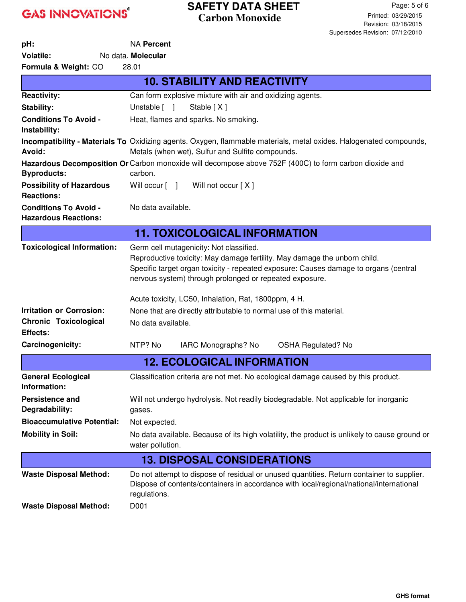### **SAFETY DATA SHEET Carbon Monoxide**

| pH:                                                            | <b>NA Percent</b>                                                                                                                                                                                                                                                                                                               |  |  |  |
|----------------------------------------------------------------|---------------------------------------------------------------------------------------------------------------------------------------------------------------------------------------------------------------------------------------------------------------------------------------------------------------------------------|--|--|--|
| <b>Volatile:</b>                                               | No data. Molecular                                                                                                                                                                                                                                                                                                              |  |  |  |
| Formula & Weight: CO                                           | 28.01                                                                                                                                                                                                                                                                                                                           |  |  |  |
|                                                                | <b>10. STABILITY AND REACTIVITY</b>                                                                                                                                                                                                                                                                                             |  |  |  |
| <b>Reactivity:</b>                                             | Can form explosive mixture with air and oxidizing agents.                                                                                                                                                                                                                                                                       |  |  |  |
| <b>Stability:</b>                                              | Unstable [ ]<br>Stable [X]                                                                                                                                                                                                                                                                                                      |  |  |  |
| <b>Conditions To Avoid -</b><br>Instability:                   | Heat, flames and sparks. No smoking.                                                                                                                                                                                                                                                                                            |  |  |  |
| Avoid:                                                         | <b>Incompatibility - Materials To</b> Oxidizing agents. Oxygen, flammable materials, metal oxides. Halogenated compounds,<br>Metals (when wet), Sulfur and Sulfite compounds.                                                                                                                                                   |  |  |  |
| <b>Byproducts:</b>                                             | Hazardous Decomposition Or Carbon monoxide will decompose above 752F (400C) to form carbon dioxide and<br>carbon.                                                                                                                                                                                                               |  |  |  |
| <b>Possibility of Hazardous</b><br><b>Reactions:</b>           | Will occur [ ]<br>Will not occur [ X ]                                                                                                                                                                                                                                                                                          |  |  |  |
| <b>Conditions To Avoid -</b><br><b>Hazardous Reactions:</b>    | No data available.                                                                                                                                                                                                                                                                                                              |  |  |  |
|                                                                | <b>11. TOXICOLOGICAL INFORMATION</b>                                                                                                                                                                                                                                                                                            |  |  |  |
| <b>Toxicological Information:</b>                              | Germ cell mutagenicity: Not classified.<br>Reproductive toxicity: May damage fertility. May damage the unborn child.<br>Specific target organ toxicity - repeated exposure: Causes damage to organs (central<br>nervous system) through prolonged or repeated exposure.<br>Acute toxicity, LC50, Inhalation, Rat, 1800ppm, 4 H. |  |  |  |
| <b>Irritation or Corrosion:</b>                                | None that are directly attributable to normal use of this material.                                                                                                                                                                                                                                                             |  |  |  |
| <b>Chronic Toxicological</b><br><b>Effects:</b>                | No data available.                                                                                                                                                                                                                                                                                                              |  |  |  |
| Carcinogenicity:                                               | NTP? No<br>IARC Monographs? No<br><b>OSHA Regulated? No</b>                                                                                                                                                                                                                                                                     |  |  |  |
|                                                                | <b>12. ECOLOGICAL INFORMATION</b>                                                                                                                                                                                                                                                                                               |  |  |  |
| <b>General Ecological</b><br>Information:                      | Classification criteria are not met. No ecological damage caused by this product.                                                                                                                                                                                                                                               |  |  |  |
| <b>Persistence and</b><br>Degradability:                       | Will not undergo hydrolysis. Not readily biodegradable. Not applicable for inorganic<br>gases.                                                                                                                                                                                                                                  |  |  |  |
| <b>Bioaccumulative Potential:</b>                              | Not expected.                                                                                                                                                                                                                                                                                                                   |  |  |  |
| <b>Mobility in Soil:</b>                                       | No data available. Because of its high volatility, the product is unlikely to cause ground or<br>water pollution.                                                                                                                                                                                                               |  |  |  |
|                                                                | <b>13. DISPOSAL CONSIDERATIONS</b>                                                                                                                                                                                                                                                                                              |  |  |  |
| <b>Waste Disposal Method:</b><br><b>Waste Disposal Method:</b> | Do not attempt to dispose of residual or unused quantities. Return container to supplier.<br>Dispose of contents/containers in accordance with local/regional/national/international<br>regulations.<br>D001                                                                                                                    |  |  |  |